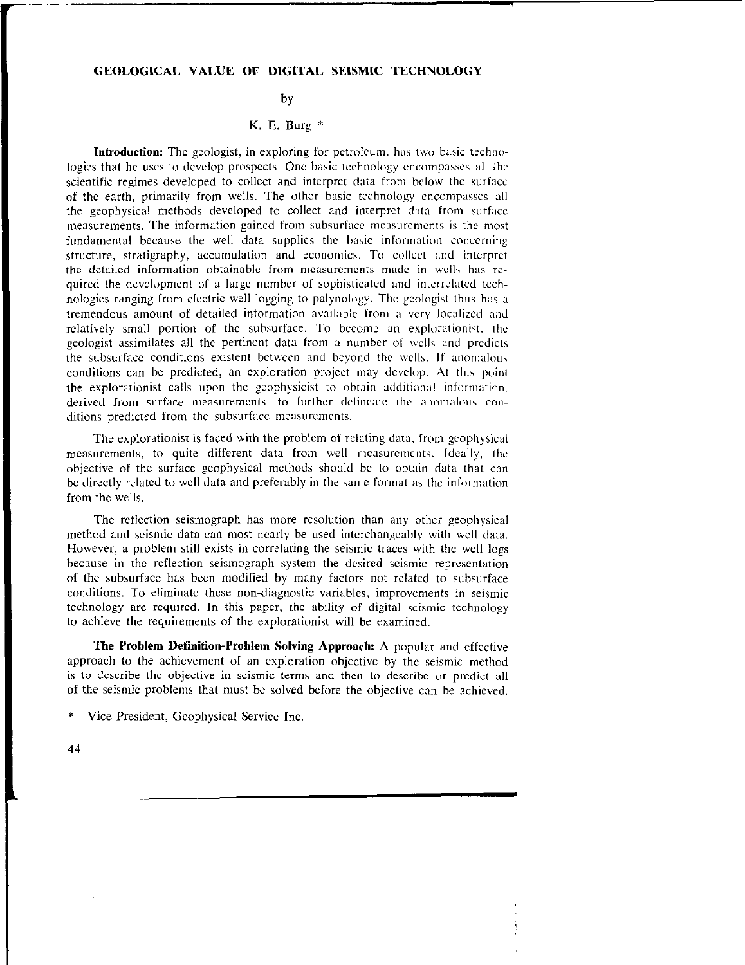## GEOLOGICAL VALUE OF DIGITAL SEISMIC TECHNOLOGY

## by

## K. E. Burg \*

Introduction: The geologist, in exploring for petroleum. has two basic tcchnologies that he uses to develop prospects. One basic technology encompasses all the scientific regimes developed to collect and interpret data from below the surface of the earth, primarily from wells. The other basic technology cncompasscs all the geophysical methods developed to collect and interpret data from surface measurements. The information gained from subsurface measurements is the most fundamental because the well data supplies the basic information concerning structure, stratigraphy, accumulation and economics. To collect and interpret the detailed information obtainable from measurements made in wells has required the development of a large number of sophisticated and interrelated tcchnologies ranging from electric well logging to palynology. The geologist thus has a tremendous amount of detailed information available from a very localized and relatively small portion of the subsurface. To bccomc an explorationist. the geologist assimilates all the pertinent data from a number of wells and predicts the subsurface conditions existent between and beyond the wells. If anomalous conditions can be predicted, an exploration project may develop. At this point the explorationist calls upon the geophysicist to obtain xlditional information. derived from surface measurements, to further delineate the anomalous conditions predicted from the subsurface measurements.

The explorationist is faced with the problem of relating data. from geophysical measurements, to quite different data from well measurcmcnts. Ideally, the objective of the surface geophysical methods should be to obtain data that can be directly rclatcd to well data and preferably in the same format as the information from the wells.

The reflection seismograph has more resolution than any other geophysical method and seismic data can most nearly be used interchangeably with well data. However, a problem still exists in correlating the seismic traces with the well logs because in the reflection seismograph system the desired seismic representation of the subsurface has been modified by many factors not related to subsurface conditions. To eliminate these non-diagnostic variables, improvements in seismic technology are required. In this paper, the ability of digital seismic technology to achieve the requirements of the explorationist will be examined.

The Problem Definition-Problem Solving Approach: A popular and effective approach to the achievement of an exploration objective by the seismic method is to describe the objective in seismic terms and then to describe or predict all of the seismic problems that must be solved before the objective can be achieved.

Vice President, Geophysical Service Inc.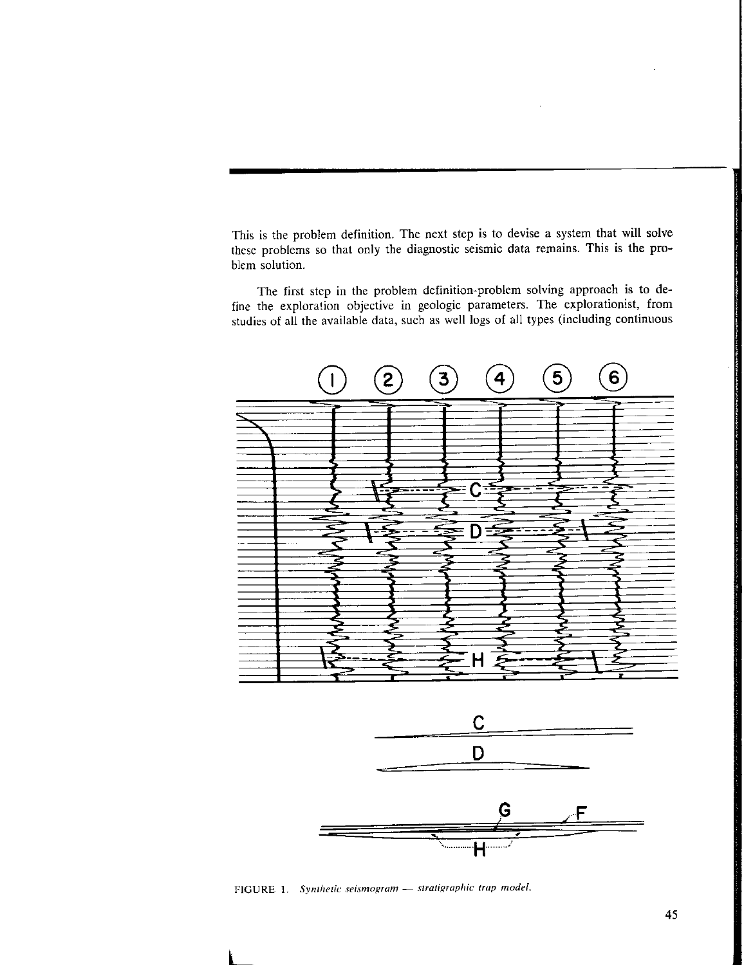This is the problem definition. The next step is to devise a system that will solve these problems so that only the diagnostic seismic data remains. This is the problem solution.

The first step in the problem definition-problem solving approach is to define the exploration objective in geologic parameters. The explorationist, from studies of all the available data, such as well logs of all types (including continuous





FIGURE 1. Synthetic seismogram - stratigraphic trap model.

L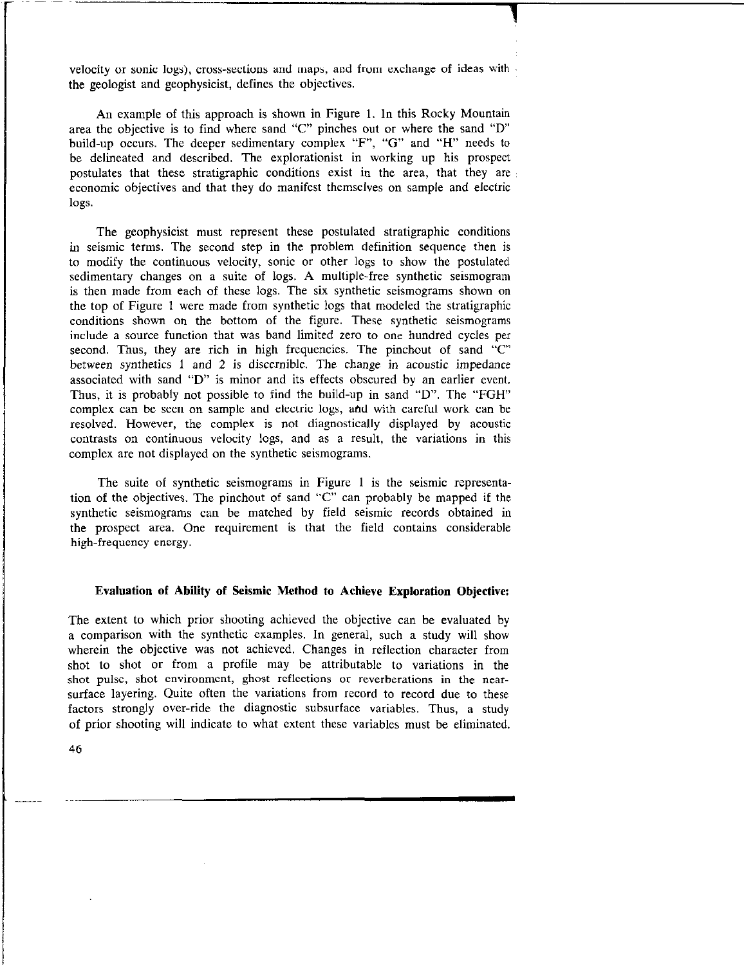velocity or sonic logs), cross-sections and maps, and from exchange of ideas with the geologist and geophysicist, defines the objectives.

An example of this approach is shown in Figure 1. In this Rocky Mountain area the objective is to find where sand "C" pinches out or where the sand "D" build-up occurs. The deeper sedimentary complex "F", "G" and "H" needs to be delineated and described. The explorationist in working up his prospect postulates that these stratigraphic conditions exist in the area, that they are economic objectives and that they do manifest themselves on sample and electric logs.

The geophysicist must represent these postulated stratigraphic conditions in seismic terms. The second step in the problem definition sequence then is to modify the continuous velocity, sonic or other logs to show the postulated sedimentary changes on a suite of logs. A multiple-free synthetic seismogram is then made from each of these logs. The six synthetic seismograms shown on the top of Figure 1 were made from synthetic logs that modeled the stratigraphic conditions shown on the bottom of the figure. These synthetic seismograms include a source function that was band limited zero to one hundred cycles per second. Thus, they are rich in high frequencies. The pinchout of sand "C" between synthetics 1 and 2 is discernible. The change in acoustic impedance associated with sand "D" is minor and its effects obscured by an earlier event. Thus, it is probably not possible to find the build-up in sand "D". The "FGH" complex can be seen on sample and electric logs, ahd with careful work can be resolved. However, the complex is not diagnostically displayed by acoustic contrasts on continuous velocity logs, and as a result, the variations in this complex are not displayed on the synthetic seismograms.

The suite of synthetic seismograms in Figure I is the seismic representation of the objectives. The pinchout of sand "c" can probably be mapped if the synthetic seismograms can be matched by field seismic records obtained in the prospect area. One requirement is that the field contains considerable high-frequency energy.

## Evaluation of Ability of Seismic Method to Achieve Exploration Objective:

The extent to which prior shooting achieved the objective can be evaluated by a comparison with the synthetic examples. In general, such a study will show wherein the objective was not achieved. Changes in reflection character from shot to shot or from a profile may be attributable to variations in the shot pulse, shot environment, ghost reflections or reverberations in the nearsurface layering. Quite often the variations from record to record due to these factors strongly over-ride the diagnostic subsurface variables. Thus, a study of prior shooting will indicate to what extent these variables must be eliminated.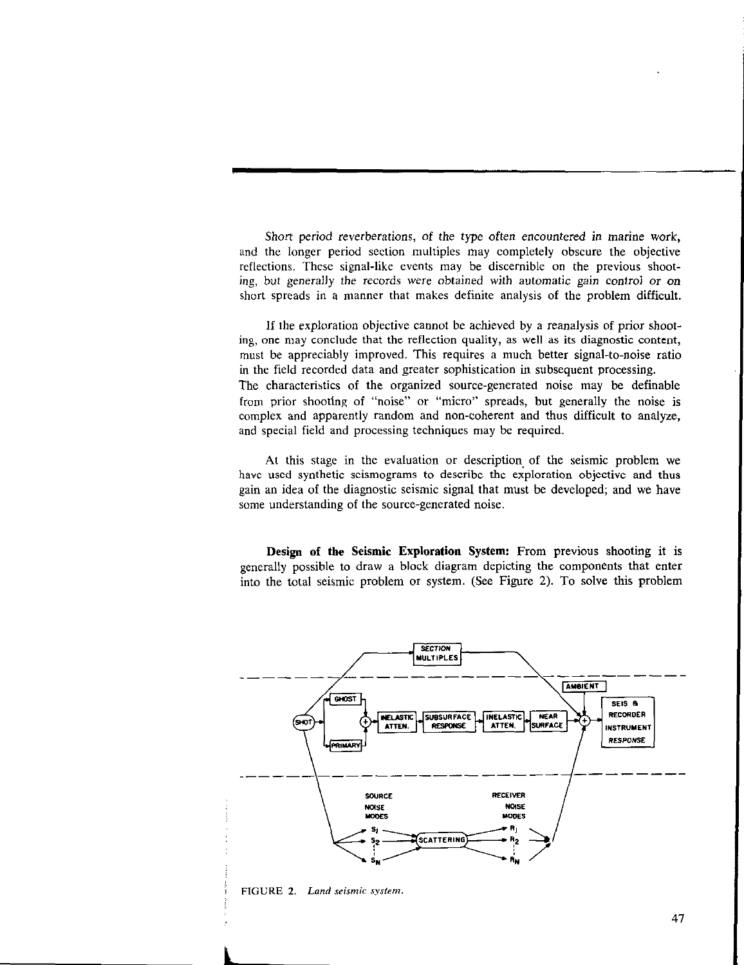Short period reverberations, of the type often encountered in marine work, and the longer period section multiples may completely obscure the objective reflections. These signal-like events may be discernible on the previous shooting, but generally the records were obtained with automatic gain control or on short spreads in a manner that makes definite analysis of the problem difficult.

If the exploration objective cannot be achieved by a reanalysis of prior shooting, one may conclude that the reflection quality, as well as its diagnostic content, must be appreciably improved. This requires a much better signal-to-noise ratio in the field recorded data and greater sophistication in subsequent processing. The characteristics of the organized source-generated noise may be definable from prior shooting of "noise" or "micro" spreads, but generally the noise is complex and apparently random and non-coherent and thus difficult to analyze, and special field and processing techniques may be required.

At this stage in the evaluation or description, of the seismic problem we have used synthetic seismograms to describe the exploration objective and thus gain an idea of the diagnostic seismic signal that must be developed; and we have some understanding of the source-generated noise.

Design of the Seismic Exploration System: From previous shooting it is generally possible to draw a block diagram depicting the components that enter into the total seismic problem or system. (See Figure 2). To solve this problem



FIGURE 2. Land seismic system.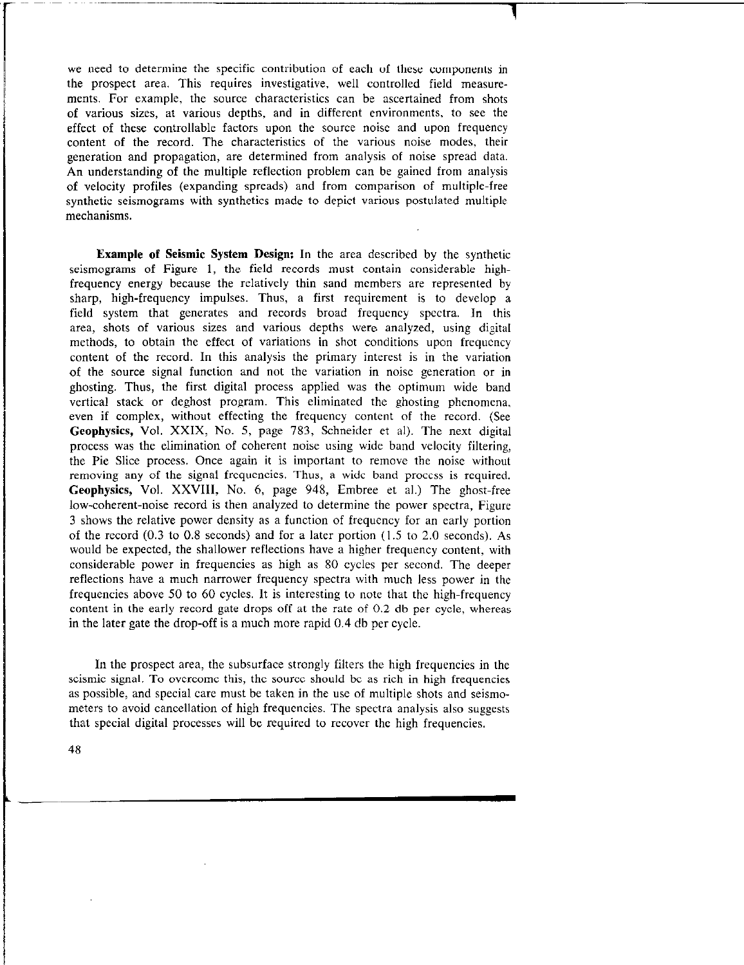we need to determine the specific contribution of each of these components in the prospect area. This requires investigative, well controlled field measurements. For example, the source characteristics can be ascertained from shots of various sizes, at various depths, and in different environments, to see the effect of these controllable factors upon the source noise and upon frequency content of the record. The characteristics of the various noise modes, their generation and propagation, are determined from analysis of noise spread data. An understanding of the multiple reflection problem can be gained from analysis of velocity profiles (expanding spreads) and from comparison of multiple-free synthetic seismograms with synthetics made to depict various postulated multiple mechanisms.

Example of Seismic System Design: In the area described by the synthetic seismograms of Figure 1, the field records must contain considerable highfrequency energy because the relatively thin sand members are represented by sharp, high-frequency impulses. Thus, a first requirement is to develop a field system that generates and records broad frequency spectra. In this area, shots of various sizes and various depths were analyzed, using digital methods, to obtain the effect of variations in shot conditions upon frequency content of the record. In this analysis the primary interest is in the variation of the source signal function and not the variation in noise generation or in ghosting. Thus, the first digital process applied was the optimum wide band vertical stack or deghost program. This eliminated the ghosting phenomena, even if complex, without effecting the frequency content of the record. (See Geophysics, Vol. XXIX, No. 5, page 783, Schneider et al). The next digital process was the elimination of coherent noise using wide band velocity filtering, the Pie Slice process. Once again it is important to remove the noise without removing any of the signal frequencies. Thus, a wide band process is required. Geophysics, Vol. XXVIII, No. 6, page 948, Embree et al.) The ghost-free low-coherent-noise record is then analyzed to determine the power spectra, Figure 3 shows the relative power density as a function of frequency for an early portion of the record (0.3 to 0.8 seconds) and for a later portion (1.5 to 2.0 seconds). As would be expected, the shallower reflections have a higher frequency content, with considerable power in frequencies as high as 80 cycles per second. The deeper reflections have a much narrower frequency spectra with much less power in the frequencies above 50 to 60 cycles. It is interesting to note that the high-frequency content in the early record gate drops off at the rate of 0.2 db per cycle, whereas in the later gate the drop-off is a much more rapid 0.4 db per cycle.

In the prospect area, the subsurface strongly filters the high frequencies in the seismic signal. To overcome this, the source should be as rich in high frequencies as possible, and special care must be taken in the use of multiple shots and seismometers to avoid cancellation of high frequencies. The spectra analysis also suggests that special digital processes will be required to recover the high frequencies.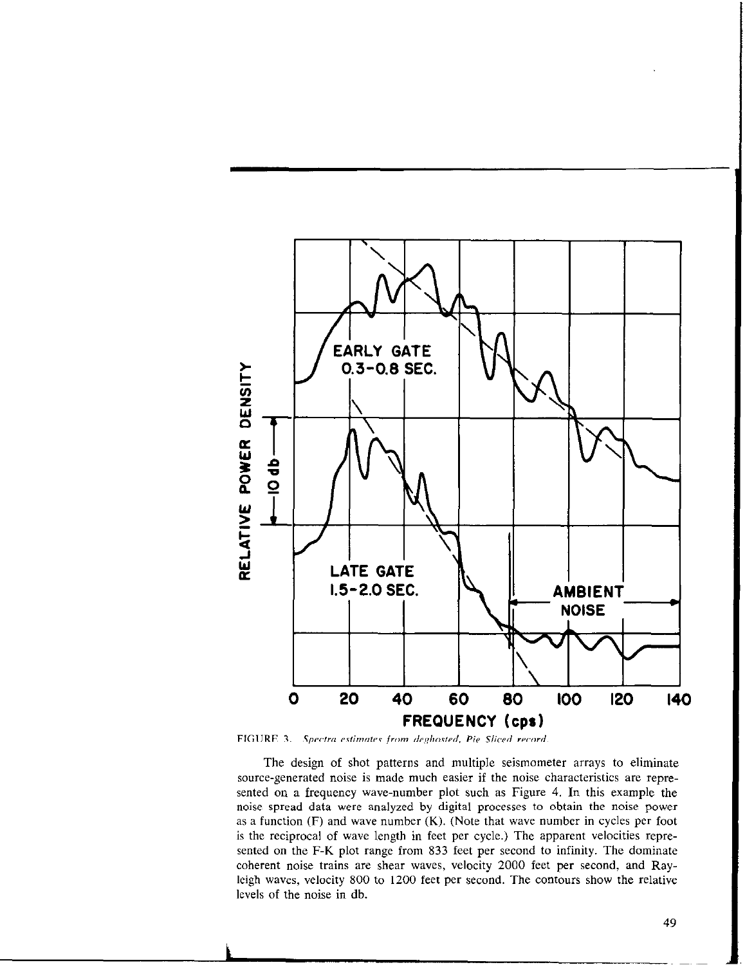

FIGURE 3. Spectra estimates from deghosted, Pie Sliced record.

The design of shot patterns and multiple seismometer arrays to eliminate source-generated noise is made much easier if the noise characteristics are represented on a frequency wave-number plot such as Figure 4. In this example the noise spread data were analyzed by digital processes to obtain the noise power as a function  $(F)$  and wave number  $(K)$ . (Note that wave number in cycles per foot is the reciprocal of wave length in feet per cycle.) The apparent velocities represented on the F-K plot range from 833 feet per second to infinity. The dominate coherent noise trains are shear waves, velocity 2000 feet per second, and Rayleigh waves, velocity 800 to 1200 feet per second. The contours show the relative levels of the noise in db.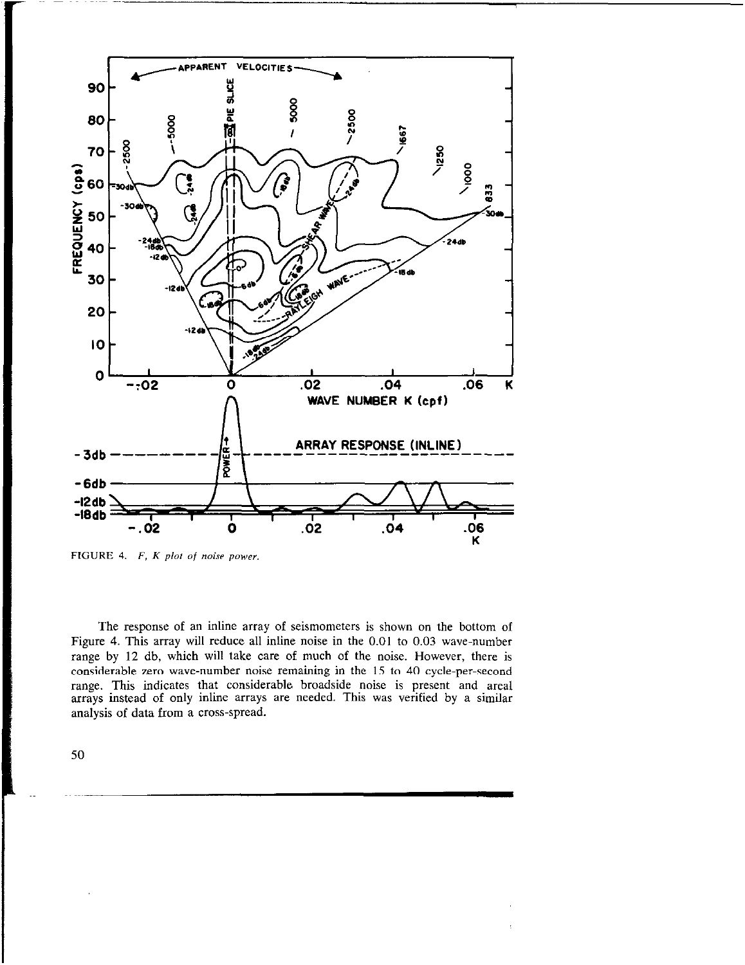

FIGURE 4.  $F$ ,  $K$  plot of noise power.

The response of an inline array of seismometers is shown on the bottom of Figure 4. This array will reduce all inline noise in the 0.01 to 0.03 wave-number range by 12 db, which will take care of much of the noise. However, there is considerable zero wave-number noise remaining in the 15 to 40 cycle-per-second range. This indicates that considerable broadside noise is present and area1 arrays instead of only inline arrays are needed. This was verified by a similar analysis of data from a cross-spread.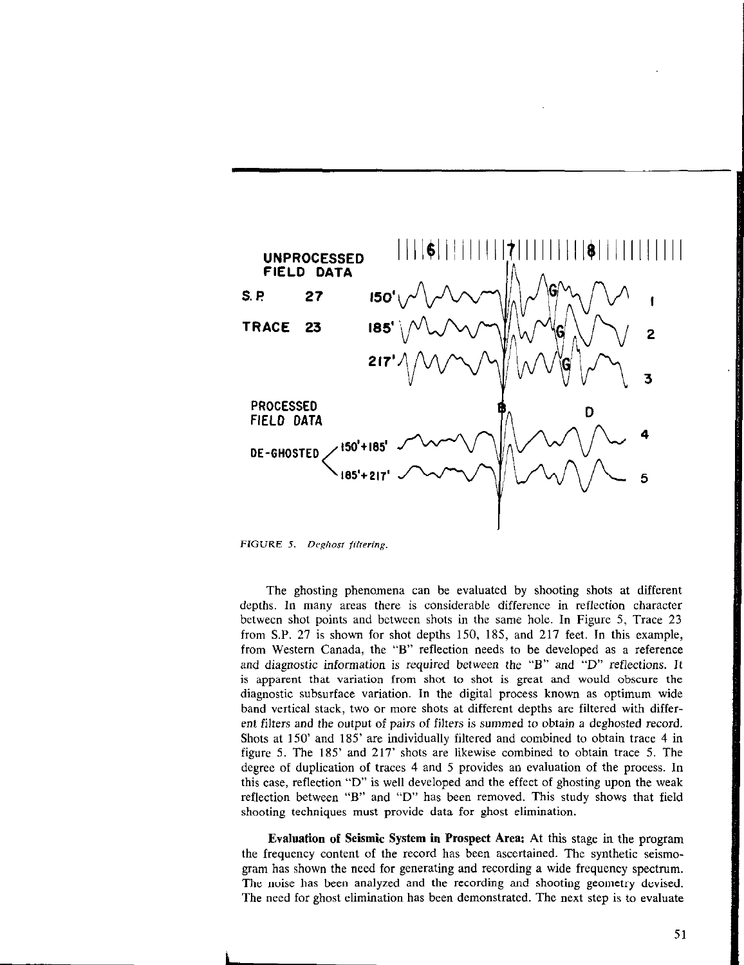

FIGURE 5. Deghost filtering.

The ghosting phenomena can be evaluated by shooting shots at different depths. In many areas there is considerable difference in reflection character between shot points and between shots in the same hole. In Figure 5, Trace 23 from S.P. 27 is shown for shot depths 150, 185, and 217 feet. In this example, from Western Canada, the "B" reflection needs to be developed as a reference and diagnostic information is required between the "B" and "D" reflections. It is apparent that variation from shot to shot is great and would obscure the diagnostic subsurface variation. In the digital process known as optimum wide band vertical stack, two or more shots at different depths are filtered with different filters and the output of pairs of filters is summed to obtain a deghosted record. Shots at 150' and 185' are individually filtered and combined to obtain trace 4 in figure 5. The 185' and 217' shots are likewise combined to obtain trace 5. The degree of duplication of traces 4 and 5 provides an evaluation of the process. In this case, reflection "D" is well developed and the effect of ghosting upon the weak reflection between "B" and "D" has been removed. This study shows that field shooting techniques must provide data for ghost elimination.

Evaluation of Seismic System in Prospect Area: At this stage in the program the frequency content of the record has been ascertained. The synthetic seismogram has shown the need for generating and recording a wide frequency spectrum. The noise has been analyzed and the recording and shooting geometry devised. The need for ghost elimination has been demonstrated. The next step is to evaluate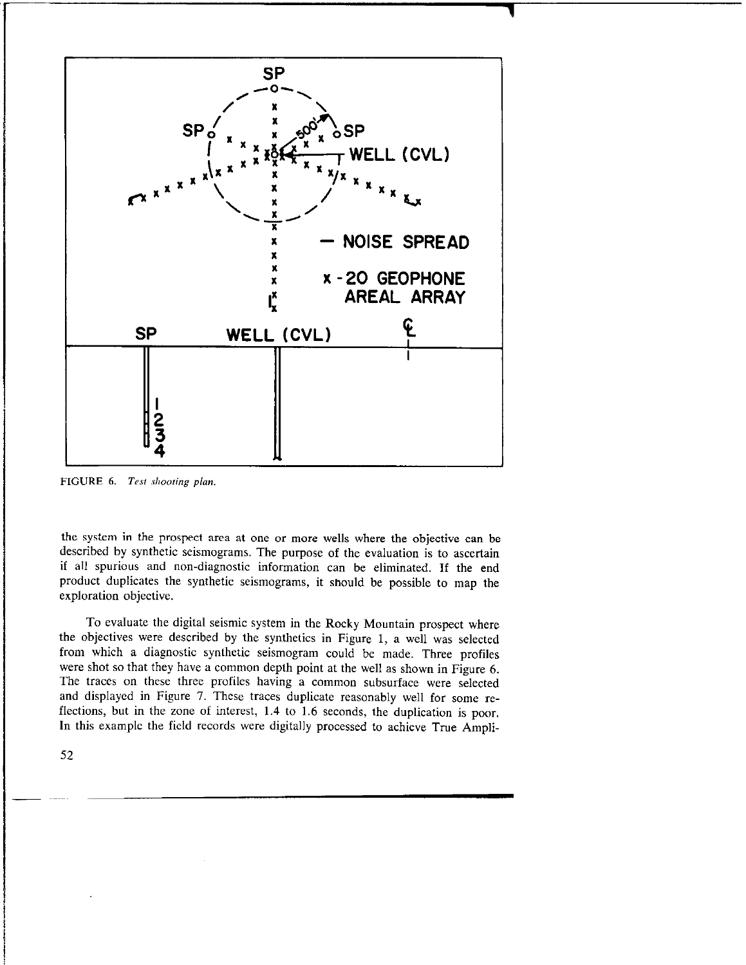

FIGURE 6. Test shooting plan.

the system in the prospect area at one or more wells where the objective can be described by synthetic seismograms. The purpose of the evaluation is to ascertain if all spurious and non-diagnostic information can be eliminated. If the end product duplicates the synthetic seismograms, it should be possible to map the exploration objective.

To evaluate the digital seismic system in the Rocky Mountain prospect where the objectives were described by the synthetics in Figure 1, a well was selected from which a diagnostic synthetic seismogram could be made. Three profiles were shot so that they have a common depth point at the well as shown in Figure 6. The traces on these three profiles having a common subsurface were selected and displayed in Figure 7. These traces duplicate reasonably well for some reflections, but in the zone of interest, 1.4 to 1.6 seconds, the duplication is poor. In this example the field records were digitally processed to achieve True Ampli-

52

-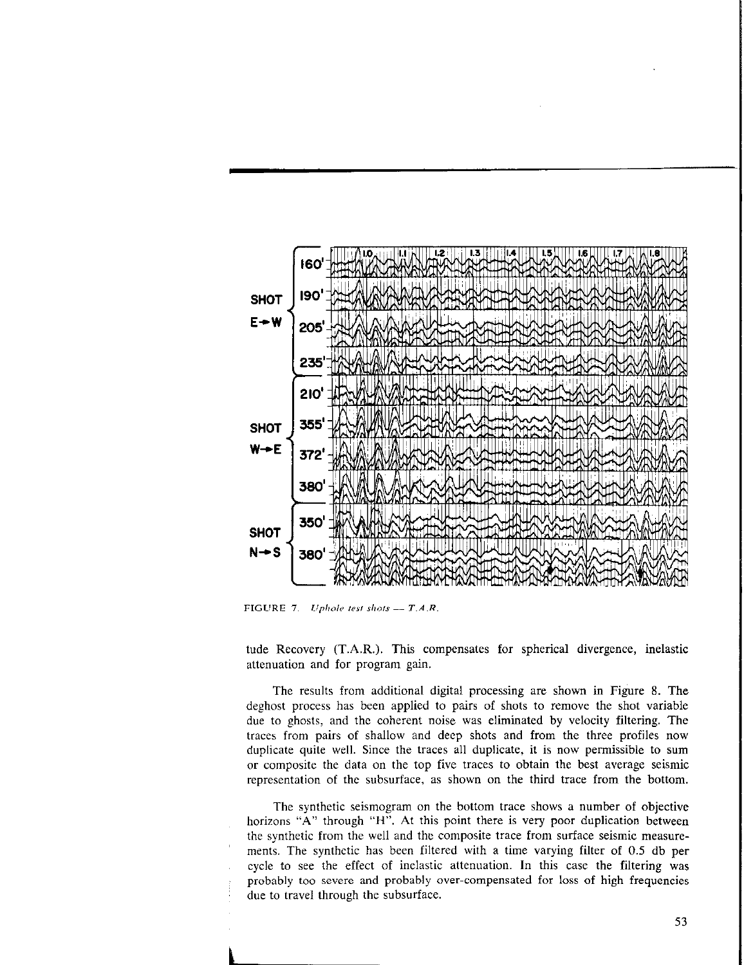

FIGURE 7. Uphole test shots  $-$  T.A.R.

tude Recovery (T.A.R.). This compensates for spherical divergence, inelastic attenuation and for program gain.

The results from additional digital processing are shown in Figure 8. The deghost process has been applied to pairs of shots to renmve the shot variable due to ghosts, and the coherent noise was eliminated by velocity filtering. The traces from pairs of shallow and deep shots and from the three profiles now duplicate quite well. Since the traces all duplicate, it is now permissible to sum or composite the data on the top five traces to obtain the best average seismic representation of the subsurface, as shown on the third trace from the bottom.

The synthetic seismogram on the bottom trace shows a number of objective horizons "A" through "H". At this point there is very poor duplication between the synthetic from the well and the composite trace from surface seismic measuremerits. The synthetic has been filtered with a time varying filter of 0.5 db per cycle to see the effect of inelastic attenuation. In this case the filtering was ; probably too severe and probably over-compensated for loss of high frequencies due to travel through the subsurface.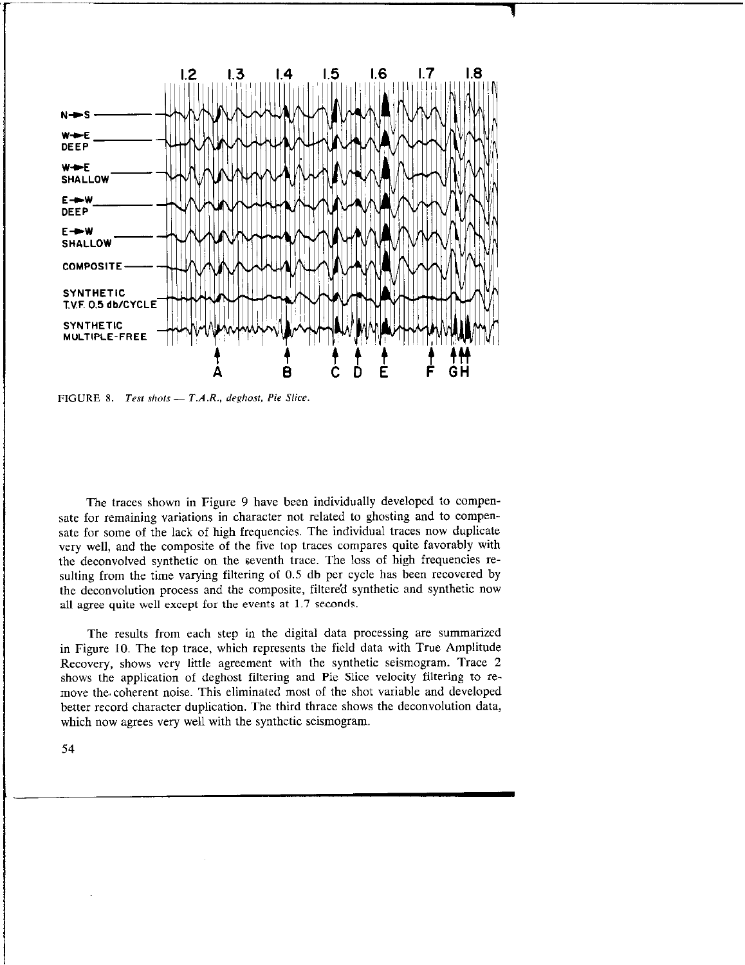

FIGURE 8. Test shots  $- T.A.R., \text{ } deghost, \text{ } Pie \text{ } Slice.$ 

The traces shown in Figure 9 have been individually developed to compensate for remaining variations in character not related to ghosting and to compensate for some of the lack of high frequencies. The individual traces now duplicate very well, and the composite of the five top traces compares quite favorably with the deconvolved synthetic on the seventh trace. The loss of high frequencies resulting from the time varying filtering of 0.5 db per cycle has been recovered by the deconvolution process and the composite, filtered synthetic and synthetic now all agree quite well except for the events at 1.7 seconds.

The results from each step in the digital data processing are summarized in Figure 10. The top trace, which represents the field data with True Amplitude Recovery, shows very little agreement with the synthetic seismogram. Trace 2 shows the application of deghost filtering and Pie Slice velocity filtering to remove the, coherent noise. This eliminated most of the shot variable and developed better record character duplication. The third thrace shows the deconvolution data, which now agrees very well with the synthetic seismogram.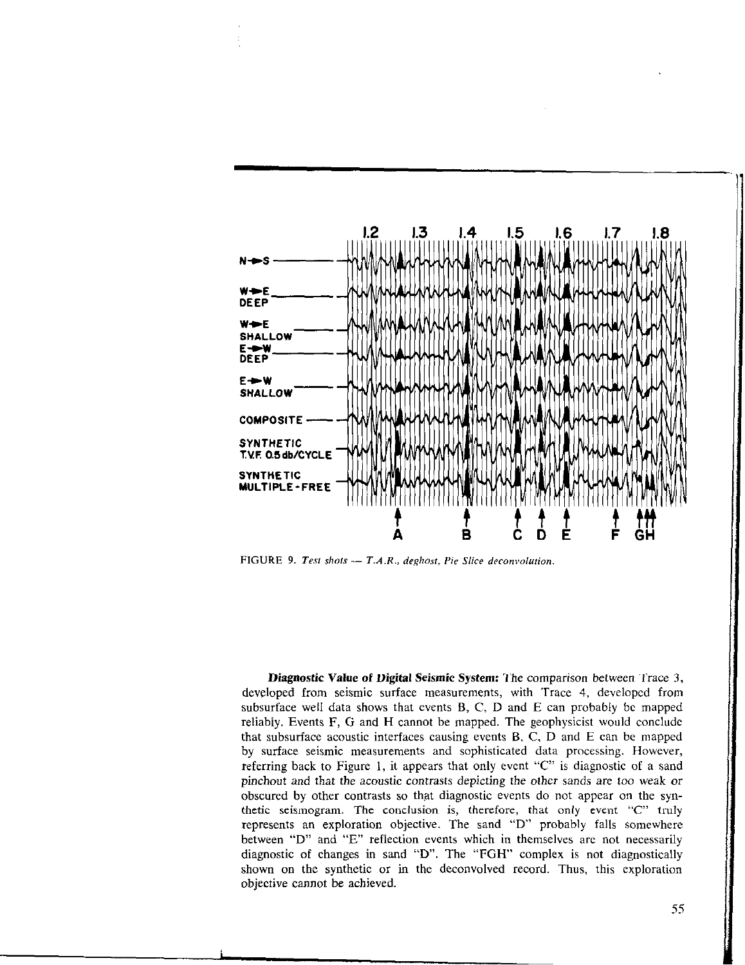

FIGURE 9. Test shots  $- T.A.R.,$  deghost, Pie Slice deconvolution.

Diagnostic Value of Digital Seismic System: The comparison between Trace 3, developed from seismic surface measurements, with Trace 4, developed from subsurface well data shows that events  $B$ ,  $C$ ,  $D$  and  $E$  can probably be mapped reliabiy. Events F, G and H cannot be mapped. The geophysicist would conclude that subsurface acoustic interfaces causing events B. C, D and E can be mapped by surface seismic measurements and sophisticated data processing. However, referring back to Figure 1, it appears that only event "C" is diagnostic of a sand pinchout and that the acoustic contrasts depicting the other sands are too weak or obscured by other contrasts so that diagnostic events do not appear on the synthetic seismogram. The conclusion is, therefore, that only event "C" truly represents an exploration objective. The sand "D" probably falls somewhere between "D" and "E" reflection events which in themselves are not necessarily diagnostic of changes in sand "D". The "FGH" complex is not diagnostically shown on the synthetic or in the deconvolved record. Thus, this exploration objective cannot be achieved.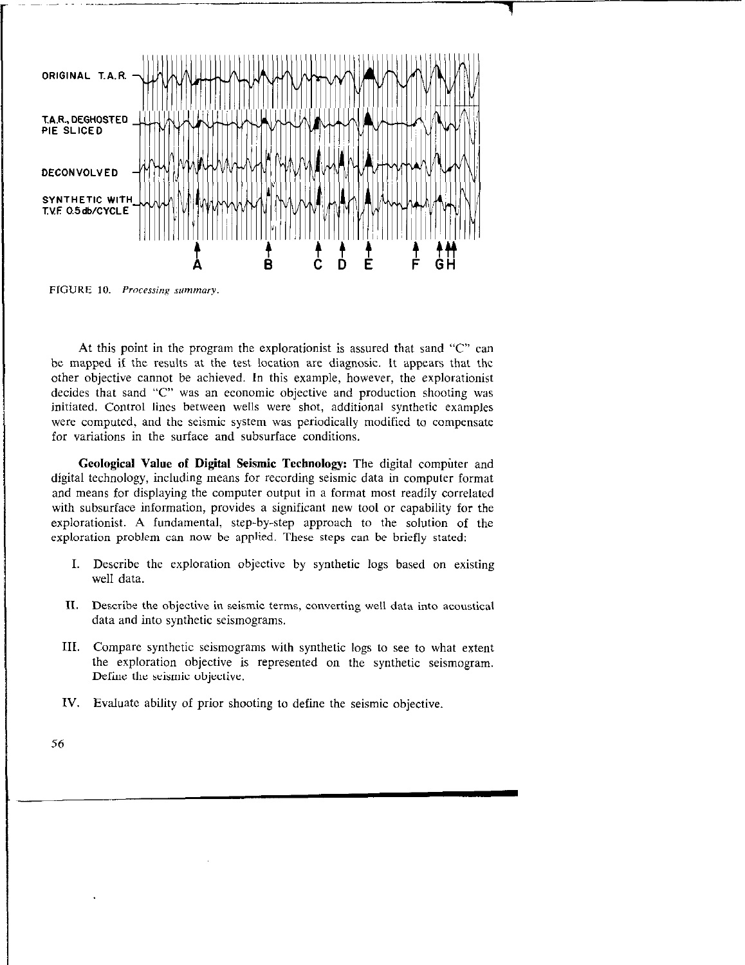

FIGURE 10. Processing summary.

At this point in the program the explorationist is assured that sand "C" can bc mapped if the results at the test location are diagnosic. It appears that the other objective cannot be achieved. In this example, however, the explorationist decides that sand "C" was an economic objective and production shooting was initiated. Control lines between wells were shot, additional synthetic examples were computed, and the seismic system was periodically modified to compensate for variations in the surface and subsurface conditions.

Geological Value of Digital Seismic Technology: The digital computer and digital technology, including means for recording seismic data in computer format and means for displaying the computer output in a format most readily correlated with subsurface information, provides a significant new tool or capability for the explorationist. A fundamental, step-by-step approach to the solution of the exploration problem can now be applied. These steps can be briefly stated:

- I. Describe the exploration objective by synthetic logs based on existing well data.
- II. Describe the objective in seismic terms, converting well data into acoustical data and into synthetic seismograms.
- III. Compare synthetic seismograms with synthetic logs to see to what extent the exploration objective is represented on the synthetic seismogram. Define the seismic objective.
- IV. Evaluate ability of prior shooting to define the seismic objective.